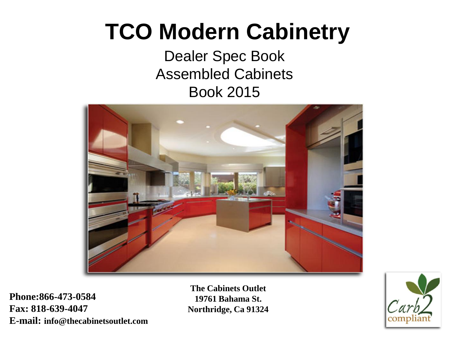# **TCO Modern Cabinetry**

## Dealer Spec Book Assembled Cabinets Book 2015



**Phone:866-473-0584 Fax: 818-639-4047 E-mail: info@thecabinetsoutlet.com** 

**The Cabinets Outlet 19761 Bahama St. Northridge, Ca 91324** 

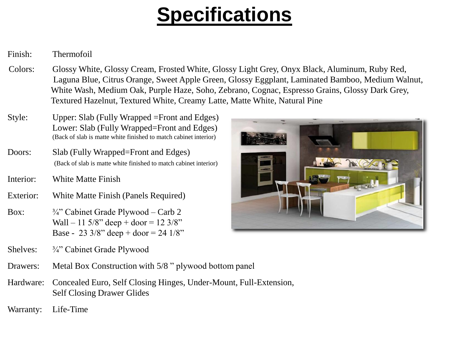# **Specifications**

## Finish: Thermofoil

- Colors: Glossy White, Glossy Cream, Frosted White, Glossy Light Grey, Onyx Black, Aluminum, Ruby Red, Laguna Blue, Citrus Orange, Sweet Apple Green, Glossy Eggplant, Laminated Bamboo, Medium Walnut, White Wash, Medium Oak, Purple Haze, Soho, Zebrano, Cognac, Espresso Grains, Glossy Dark Grey, Textured Hazelnut, Textured White, Creamy Latte, Matte White, Natural Pine
- Style: Upper: Slab (Fully Wrapped =Front and Edges) Lower: Slab (Fully Wrapped=Front and Edges) (Back of slab is matte white finished to match cabinet interior)
- Doors: Slab (Fully Wrapped=Front and Edges) (Back of slab is matte white finished to match cabinet interior)
- Interior: White Matte Finish
- Exterior: White Matte Finish (Panels Required)
- Box:  $\frac{3}{4}$  Cabinet Grade Plywood Carb 2 Wall – 11  $5/8$ " deep + door = 12  $3/8$ " Base - 23  $3/8$ " deep + door = 24  $1/8$ "
- Shelves: ¾" Cabinet Grade Plywood
- Drawers: Metal Box Construction with 5/8 " plywood bottom panel
- Hardware: Concealed Euro, Self Closing Hinges, Under-Mount, Full-Extension, Self Closing Drawer Glides

Warranty: Life-Time

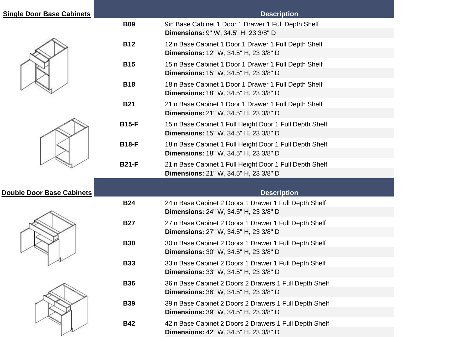| <b>Single Door Base Cabinets</b> |              | <b>Description</b>                                      |
|----------------------------------|--------------|---------------------------------------------------------|
|                                  | <b>B09</b>   | 9in Base Cabinet 1 Door 1 Drawer 1 Full Depth Shelf     |
|                                  |              | <b>Dimensions: 9" W, 34.5" H, 23 3/8" D</b>             |
|                                  | <b>B12</b>   | 12in Base Cabinet 1 Door 1 Drawer 1 Full Depth Shelf    |
|                                  |              | Dimensions: 12" W, 34.5" H, 23 3/8" D                   |
|                                  | <b>B15</b>   | 15in Base Cabinet 1 Door 1 Drawer 1 Full Depth Shelf    |
|                                  |              | Dimensions: 15" W, 34.5" H, 23 3/8" D                   |
|                                  | <b>B18</b>   | 18in Base Cabinet 1 Door 1 Drawer 1 Full Depth Shelf    |
|                                  |              | <b>Dimensions:</b> 18" W, 34.5" H, 23 3/8" D            |
|                                  | <b>B21</b>   | 21in Base Cabinet 1 Door 1 Drawer 1 Full Depth Shelf    |
|                                  |              | Dimensions: 21" W, 34.5" H, 23 3/8" D                   |
|                                  | <b>B15-F</b> | 15in Base Cabinet 1 Full Height Door 1 Full Depth Shelf |
|                                  |              | Dimensions: 15" W, 34.5" H, 23 3/8" D                   |
|                                  | <b>B18-F</b> | 18in Base Cabinet 1 Full Height Door 1 Full Depth Shelf |
|                                  |              | Dimensions: 18" W, 34.5" H, 23 3/8" D                   |
|                                  | <b>B21-F</b> | 21in Base Cabinet 1 Full Height Door 1 Full Depth Shelf |
|                                  |              | Dimensions: 21" W, 34.5" H, 23 3/8" D                   |
|                                  |              |                                                         |
| <b>Double Door Base Cabinets</b> |              | <b>Description</b>                                      |
|                                  | <b>B24</b>   | 24in Base Cabinet 2 Doors 1 Drawer 1 Full Depth Shelf   |
|                                  |              | <b>Dimensions:</b> 24" W, 34.5" H, 23 3/8" D            |
|                                  | <b>B27</b>   | 27in Base Cabinet 2 Doors 1 Drawer 1 Full Depth Shelf   |
|                                  |              | Dimensions: 27" W, 34.5" H, 23 3/8" D                   |
|                                  | <b>B30</b>   | 30in Base Cabinet 2 Doors 1 Drawer 1 Full Depth Shelf   |
|                                  |              | <b>Dimensions:</b> 30" W, 34.5" H, 23 3/8" D            |
|                                  | <b>B33</b>   | 33in Base Cabinet 2 Doors 1 Drawer 1 Full Depth Shelf   |
|                                  |              | <b>Dimensions:</b> 33" W, 34.5" H, 23 3/8" D            |
|                                  | <b>B36</b>   | 36in Base Cabinet 2 Doors 2 Drawers 1 Full Depth Shelf  |
|                                  |              | Dimensions: 36" W, 34.5" H, 23 3/8" D                   |
|                                  | <b>B39</b>   | 39in Base Cabinet 2 Doors 2 Drawers 1 Full Depth Shelf  |
|                                  |              | Dimensions: 39" W, 34.5" H, 23 3/8" D                   |
|                                  | <b>B42</b>   | 42in Base Cabinet 2 Doors 2 Drawers 1 Full Depth Shelf  |
|                                  |              | Dimensions: 42" W, 34.5" H, 23 3/8" D                   |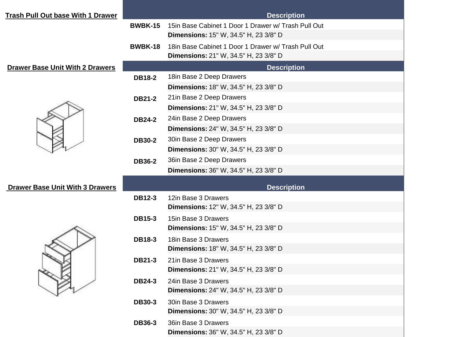| <b>Trash Pull Out base With 1 Drawer</b> |                | <b>Description</b>                                                  |
|------------------------------------------|----------------|---------------------------------------------------------------------|
|                                          | <b>BWBK-15</b> | 15 in Base Cabinet 1 Door 1 Drawer w/ Trash Pull Out                |
|                                          |                | <b>Dimensions:</b> 15" W, 34.5" H, 23 3/8" D                        |
|                                          | <b>BWBK-18</b> | 18in Base Cabinet 1 Door 1 Drawer w/ Trash Pull Out                 |
|                                          |                | <b>Dimensions:</b> 21" W, 34.5" H, 23 3/8" D                        |
| <b>Drawer Base Unit With 2 Drawers</b>   |                | <b>Description</b>                                                  |
|                                          | <b>DB18-2</b>  | 18in Base 2 Deep Drawers                                            |
|                                          |                | <b>Dimensions:</b> 18" W, 34.5" H, 23 3/8" D                        |
|                                          | <b>DB21-2</b>  | 21in Base 2 Deep Drawers                                            |
|                                          |                | <b>Dimensions:</b> 21" W, 34.5" H, 23 3/8" D                        |
|                                          | <b>DB24-2</b>  | 24in Base 2 Deep Drawers                                            |
|                                          |                | Dimensions: 24" W, 34.5" H, 23 3/8" D                               |
|                                          | <b>DB30-2</b>  | 30in Base 2 Deep Drawers                                            |
|                                          |                | Dimensions: 30" W, 34.5" H, 23 3/8" D                               |
|                                          | <b>DB36-2</b>  | 36in Base 2 Deep Drawers                                            |
|                                          |                | <b>Dimensions:</b> 36" W, 34.5" H, 23 3/8" D                        |
|                                          |                |                                                                     |
| <b>Drawer Base Unit With 3 Drawers</b>   |                | <b>Description</b>                                                  |
|                                          | <b>DB12-3</b>  | 12in Base 3 Drawers<br><b>Dimensions:</b> 12" W, 34.5" H, 23 3/8" D |
|                                          |                |                                                                     |
|                                          | <b>DB15-3</b>  | 15in Base 3 Drawers<br>Dimensions: 15" W, 34.5" H, 23 3/8" D        |
|                                          |                |                                                                     |
|                                          | <b>DB18-3</b>  | 18in Base 3 Drawers<br><b>Dimensions: 18" W, 34.5" H, 23 3/8" D</b> |
|                                          |                | 21in Base 3 Drawers                                                 |
|                                          | <b>DB21-3</b>  | <b>Dimensions:</b> 21" W, 34.5" H, 23 3/8" D                        |
|                                          |                |                                                                     |
|                                          | <b>DB24-3</b>  | 24in Base 3 Drawers<br>Dimensions: 24" W, 34.5" H, 23 3/8" D        |
|                                          |                |                                                                     |
|                                          | <b>DB30-3</b>  | 30in Base 3 Drawers<br>Dimensions: 30" W, 34.5" H, 23 3/8" D        |
|                                          |                |                                                                     |
|                                          | <b>DB36-3</b>  | 36in Base 3 Drawers                                                 |
|                                          |                | Dimensions: 36" W, 34.5" H, 23 3/8" D                               |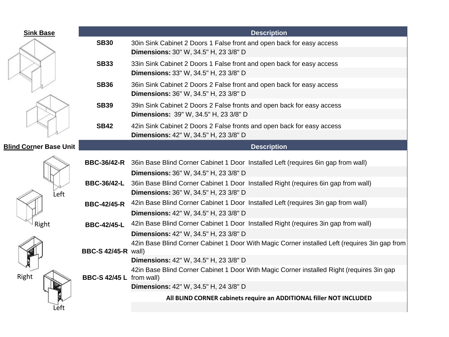| <b>Sink Base</b>              |                            | <b>Description</b>                                                                                                                     |
|-------------------------------|----------------------------|----------------------------------------------------------------------------------------------------------------------------------------|
|                               | <b>SB30</b>                | 30in Sink Cabinet 2 Doors 1 False front and open back for easy access<br><b>Dimensions:</b> 30" W, 34.5" H, 23 3/8" D                  |
|                               | <b>SB33</b>                | 33in Sink Cabinet 2 Doors 1 False front and open back for easy access<br>Dimensions: 33" W, 34.5" H, 23 3/8" D                         |
|                               | <b>SB36</b>                | 36in Sink Cabinet 2 Doors 2 False front and open back for easy access<br>Dimensions: 36" W, 34.5" H, 23 3/8" D                         |
|                               | <b>SB39</b>                | 39in Sink Cabinet 2 Doors 2 False fronts and open back for easy access<br>Dimensions: 39" W, 34.5" H, 23 3/8" D                        |
|                               | <b>SB42</b>                | 42in Sink Cabinet 2 Doors 2 False fronts and open back for easy access<br>Dimensions: 42" W, 34.5" H, 23 3/8" D                        |
| <b>Blind Corner Base Unit</b> |                            | <b>Description</b>                                                                                                                     |
| Left<br>Right<br>Right        | <b>BBC-36/42-R</b>         | 36in Base Blind Corner Cabinet 1 Door Installed Left (requires 6in gap from wall)<br>Dimensions: 36" W, 34.5" H, 23 3/8" D             |
|                               | <b>BBC-36/42-L</b>         | 36in Base Blind Corner Cabinet 1 Door Installed Right (requires 6in gap from wall)<br><b>Dimensions:</b> 36" W, 34.5" H, 23 3/8" D     |
|                               | <b>BBC-42/45-R</b>         | 42in Base Blind Corner Cabinet 1 Door Installed Left (requires 3in gap from wall)<br>Dimensions: 42" W, 34.5" H, 23 3/8" D             |
|                               | <b>BBC-42/45-L</b>         | 42in Base Blind Corner Cabinet 1 Door Installed Right (requires 3in gap from wall)<br>Dimensions: 42" W, 34.5" H, 23 3/8" D            |
|                               | <b>BBC-S 42/45-R wall)</b> | 42in Base Blind Corner Cabinet 1 Door With Magic Corner installed Left (requires 3in gap from<br>Dimensions: 42" W, 34.5" H, 23 3/8" D |
|                               | BBC-S 42/45 L from wall)   | 42in Base Blind Corner Cabinet 1 Door With Magic Corner installed Right (requires 3in gap                                              |
|                               |                            | Dimensions: 42" W, 34.5" H, 24 3/8" D                                                                                                  |
| Left                          |                            | All BLIND CORNER cabinets require an ADDITIONAL filler NOT INCLUDED                                                                    |
|                               |                            |                                                                                                                                        |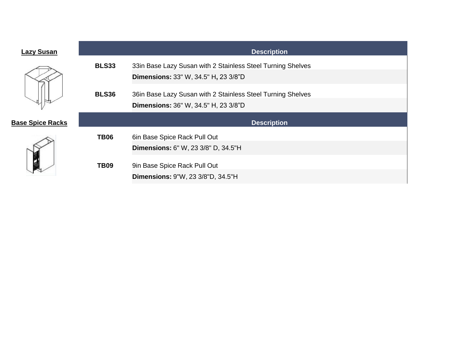| <b>Lazy Susan</b>       |              | <b>Description</b>                                                       |  |
|-------------------------|--------------|--------------------------------------------------------------------------|--|
|                         | <b>BLS33</b> | 33in Base Lazy Susan with 2 Stainless Steel Turning Shelves              |  |
|                         |              | <b>Dimensions:</b> 33" W, 34.5" H, 23 3/8"D                              |  |
|                         | <b>BLS36</b> | 36in Base Lazy Susan with 2 Stainless Steel Turning Shelves              |  |
|                         |              | <b>Dimensions:</b> 36" W, 34.5" H, 23 3/8"D                              |  |
|                         |              |                                                                          |  |
|                         |              | <b>Description</b>                                                       |  |
|                         | <b>TB06</b>  | 6in Base Spice Rack Pull Out                                             |  |
|                         |              | Dimensions: 6" W, 23 3/8" D, 34.5"H                                      |  |
|                         | <b>TB09</b>  |                                                                          |  |
| <b>Base Spice Racks</b> |              | 9in Base Spice Rack Pull Out<br><b>Dimensions: 9"W, 23 3/8"D, 34.5"H</b> |  |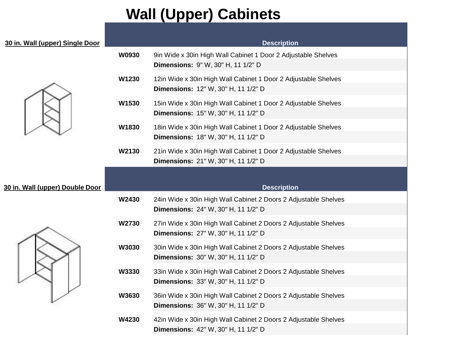## **Wall (Upper) Cabinets**

| 30 in. Wall (upper) Single Door |       | <b>Description</b>                                                                                           |
|---------------------------------|-------|--------------------------------------------------------------------------------------------------------------|
|                                 | W0930 | 9in Wide x 30in High Wall Cabinet 1 Door 2 Adjustable Shelves<br>Dimensions: 9" W, 30" H, 11 1/2" D          |
|                                 | W1230 | 12in Wide x 30in High Wall Cabinet 1 Door 2 Adjustable Shelves<br>Dimensions: 12" W, 30" H, 11 1/2" D        |
|                                 | W1530 | 15in Wide x 30in High Wall Cabinet 1 Door 2 Adjustable Shelves<br><b>Dimensions: 15" W, 30" H, 11 1/2" D</b> |
|                                 | W1830 | 18in Wide x 30in High Wall Cabinet 1 Door 2 Adjustable Shelves<br>Dimensions: 18" W, 30" H, 11 1/2" D        |
|                                 | W2130 | 21in Wide x 30in High Wall Cabinet 1 Door 2 Adjustable Shelves<br>Dimensions: 21" W, 30" H, 11 1/2" D        |
| 30 in. Wall (upper) Double Door |       | <b>Description</b>                                                                                           |
|                                 | W2430 | 24in Wide x 30in High Wall Cabinet 2 Doors 2 Adjustable Shelves<br>Dimensions: 24" W, 30" H, 11 1/2" D       |
|                                 | W2730 | 27in Wide x 30in High Wall Cabinet 2 Doors 2 Adjustable Shelves<br>Dimensions: 27" W, 30" H, 11 1/2" D       |
|                                 | W3030 | 30in Wide x 30in High Wall Cabinet 2 Doors 2 Adjustable Shelves<br>Dimensions: 30" W, 30" H, 11 1/2" D       |
|                                 | W3330 | 33in Wide x 30in High Wall Cabinet 2 Doors 2 Adjustable Shelves<br>Dimensions: 33" W, 30" H, 11 1/2" D       |
|                                 | W3630 | 36in Wide x 30in High Wall Cabinet 2 Doors 2 Adjustable Shelves<br>Dimensions: 36" W, 30" H, 11 1/2" D       |
|                                 | W4230 | 42in Wide x 30in High Wall Cabinet 2 Doors 2 Adjustable Shelves<br>Dimensions: 42" W, 30" H, 11 1/2" D       |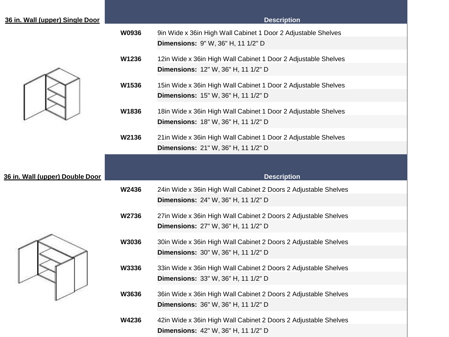| 36 in. Wall (upper) Single Door |       | <b>Description</b>                                                                                     |
|---------------------------------|-------|--------------------------------------------------------------------------------------------------------|
|                                 | W0936 | 9in Wide x 36in High Wall Cabinet 1 Door 2 Adjustable Shelves<br>Dimensions: 9" W, 36" H, 11 1/2" D    |
|                                 | W1236 | 12in Wide x 36in High Wall Cabinet 1 Door 2 Adjustable Shelves<br>Dimensions: 12" W, 36" H, 11 1/2" D  |
|                                 | W1536 | 15in Wide x 36in High Wall Cabinet 1 Door 2 Adjustable Shelves<br>Dimensions: 15" W, 36" H, 11 1/2" D  |
|                                 | W1836 | 18in Wide x 36in High Wall Cabinet 1 Door 2 Adjustable Shelves<br>Dimensions: 18" W, 36" H, 11 1/2" D  |
|                                 | W2136 | 21in Wide x 36in High Wall Cabinet 1 Door 2 Adjustable Shelves<br>Dimensions: 21" W, 36" H, 11 1/2" D  |
| 36 in. Wall (upper) Double Door |       | <b>Description</b>                                                                                     |
|                                 | W2436 | 24in Wide x 36in High Wall Cabinet 2 Doors 2 Adjustable Shelves<br>Dimensions: 24" W, 36" H, 11 1/2" D |
|                                 | W2736 | 27in Wide x 36in High Wall Cabinet 2 Doors 2 Adjustable Shelves<br>Dimensions: 27" W, 36" H, 11 1/2" D |
|                                 | W3036 | 30in Wide x 36in High Wall Cabinet 2 Doors 2 Adjustable Shelves<br>Dimensions: 30" W, 36" H, 11 1/2" D |
|                                 | W3336 | 33in Wide x 36in High Wall Cabinet 2 Doors 2 Adjustable Shelves<br>Dimensions: 33" W, 36" H, 11 1/2" D |
|                                 | W3636 | 36in Wide x 36in High Wall Cabinet 2 Doors 2 Adjustable Shelves<br>Dimensions: 36" W, 36" H, 11 1/2" D |
|                                 | W4236 | 42in Wide x 36in High Wall Cabinet 2 Doors 2 Adjustable Shelves<br>Dimensions: 42" W, 36" H, 11 1/2" D |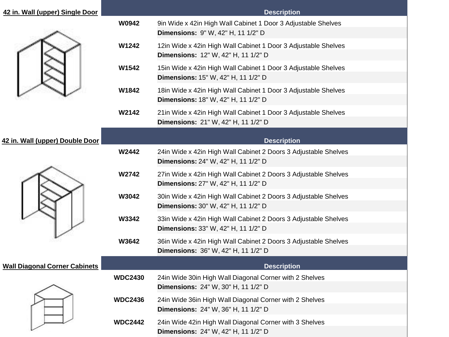| 42 in. Wall (upper) Single Door      |                | <b>Description</b>                                                                                           |
|--------------------------------------|----------------|--------------------------------------------------------------------------------------------------------------|
|                                      | W0942          | 9in Wide x 42in High Wall Cabinet 1 Door 3 Adjustable Shelves<br>Dimensions: 9" W, 42" H, 11 1/2" D          |
|                                      | W1242          | 12in Wide x 42in High Wall Cabinet 1 Door 3 Adjustable Shelves<br>Dimensions: 12" W, 42" H, 11 1/2" D        |
|                                      | W1542          | 15in Wide x 42in High Wall Cabinet 1 Door 3 Adjustable Shelves<br>Dimensions: 15" W, 42" H, 11 1/2" D        |
|                                      | W1842          | 18in Wide x 42in High Wall Cabinet 1 Door 3 Adjustable Shelves<br><b>Dimensions:</b> 18" W, 42" H, 11 1/2" D |
|                                      | W2142          | 21 in Wide x 42 in High Wall Cabinet 1 Door 3 Adjustable Shelves<br>Dimensions: 21" W, 42" H, 11 1/2" D      |
| 42 in. Wall (upper) Double Door      |                | <b>Description</b>                                                                                           |
|                                      | W2442          | 24in Wide x 42in High Wall Cabinet 2 Doors 3 Adjustable Shelves<br>Dimensions: 24" W, 42" H, 11 1/2" D       |
|                                      | W2742          | 27in Wide x 42in High Wall Cabinet 2 Doors 3 Adjustable Shelves<br>Dimensions: 27" W, 42" H, 11 1/2" D       |
|                                      | W3042          | 30in Wide x 42in High Wall Cabinet 2 Doors 3 Adjustable Shelves<br>Dimensions: 30" W, 42" H, 11 1/2" D       |
|                                      | W3342          | 33in Wide x 42in High Wall Cabinet 2 Doors 3 Adjustable Shelves<br>Dimensions: 33" W, 42" H, 11 1/2" D       |
|                                      | W3642          | 36in Wide x 42in High Wall Cabinet 2 Doors 3 Adjustable Shelves<br>Dimensions: 36" W, 42" H, 11 1/2" D       |
| <b>Wall Diagonal Corner Cabinets</b> |                | <b>Description</b>                                                                                           |
|                                      | <b>WDC2430</b> | 24in Wide 30in High Wall Diagonal Corner with 2 Shelves<br><b>Dimensions: 24" W, 30" H, 11 1/2" D</b>        |
|                                      | <b>WDC2436</b> | 24in Wide 36in High Wall Diagonal Corner with 2 Shelves<br>Dimensions: 24" W, 36" H, 11 1/2" D               |
|                                      | <b>WDC2442</b> | 24in Wide 42in High Wall Diagonal Corner with 3 Shelves<br>Dimensions: 24" W, 42" H, 11 1/2" D               |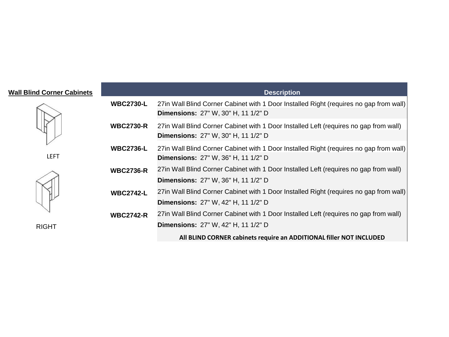## **Wall Blind Corner Cabinets**







| <b>Wall Blind Corner Cabinets</b> |                  | <b>Description</b>                                                                                                                   |
|-----------------------------------|------------------|--------------------------------------------------------------------------------------------------------------------------------------|
|                                   | <b>WBC2730-L</b> | 27in Wall Blind Corner Cabinet with 1 Door Installed Right (requires no gap from wall)<br><b>Dimensions: 27" W, 30" H, 11 1/2" D</b> |
|                                   | <b>WBC2730-R</b> | 27in Wall Blind Corner Cabinet with 1 Door Installed Left (requires no gap from wall)<br><b>Dimensions: 27" W, 30" H, 11 1/2" D</b>  |
| <b>LEFT</b>                       | <b>WBC2736-L</b> | 27in Wall Blind Corner Cabinet with 1 Door Installed Right (requires no gap from wall)<br><b>Dimensions: 27" W, 36" H, 11 1/2" D</b> |
|                                   | <b>WBC2736-R</b> | 27in Wall Blind Corner Cabinet with 1 Door Installed Left (requires no gap from wall)<br><b>Dimensions: 27" W, 36" H, 11 1/2" D</b>  |
|                                   | <b>WBC2742-L</b> | 27in Wall Blind Corner Cabinet with 1 Door Installed Right (requires no gap from wall)<br><b>Dimensions: 27" W, 42" H, 11 1/2" D</b> |
|                                   | <b>WBC2742-R</b> | 27in Wall Blind Corner Cabinet with 1 Door Installed Left (requires no gap from wall)                                                |
| <b>RIGHT</b>                      |                  | <b>Dimensions: 27" W, 42" H, 11 1/2" D</b>                                                                                           |
|                                   |                  | All BLIND CORNER cabinets require an ADDITIONAL filler NOT INCLUDED                                                                  |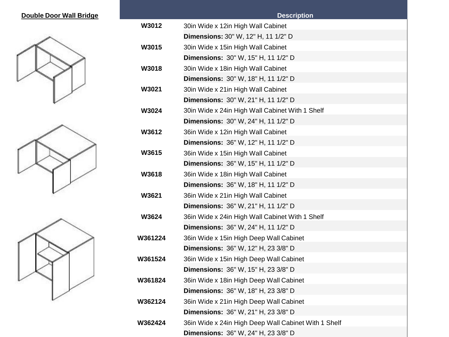## **Double Door Wall Bridge**







|         | <b>Description</b>                                   |
|---------|------------------------------------------------------|
| W3012   | 30in Wide x 12in High Wall Cabinet                   |
|         | <b>Dimensions: 30" W, 12" H, 11 1/2" D</b>           |
| W3015   | 30in Wide x 15in High Wall Cabinet                   |
|         | <b>Dimensions:</b> 30" W, 15" H, 11 1/2" D           |
| W3018   | 30in Wide x 18in High Wall Cabinet                   |
|         | <b>Dimensions: 30" W, 18" H, 11 1/2" D</b>           |
| W3021   | 30in Wide x 21in High Wall Cabinet                   |
|         | Dimensions: 30" W, 21" H, 11 1/2" D                  |
| W3024   | 30in Wide x 24in High Wall Cabinet With 1 Shelf      |
|         | Dimensions: 30" W, 24" H, 11 1/2" D                  |
| W3612   | 36in Wide x 12in High Wall Cabinet                   |
|         | Dimensions: 36" W, 12" H, 11 1/2" D                  |
| W3615   | 36in Wide x 15in High Wall Cabinet                   |
|         | Dimensions: 36" W, 15" H, 11 1/2" D                  |
| W3618   | 36in Wide x 18in High Wall Cabinet                   |
|         | <b>Dimensions: 36" W, 18" H, 11 1/2" D</b>           |
| W3621   | 36in Wide x 21in High Wall Cabinet                   |
|         | <b>Dimensions:</b> 36" W, 21" H, 11 1/2" D           |
| W3624   | 36in Wide x 24in High Wall Cabinet With 1 Shelf      |
|         | <b>Dimensions:</b> 36" W, 24" H, 11 1/2" D           |
| W361224 | 36in Wide x 15in High Deep Wall Cabinet              |
|         | <b>Dimensions:</b> 36" W, 12" H, 23 3/8" D           |
| W361524 | 36in Wide x 15in High Deep Wall Cabinet              |
|         | Dimensions: 36" W, 15" H, 23 3/8" D                  |
| W361824 | 36in Wide x 18in High Deep Wall Cabinet              |
|         | Dimensions: 36" W, 18" H, 23 3/8" D                  |
| W362124 | 36in Wide x 21in High Deep Wall Cabinet              |
|         | Dimensions: 36" W, 21" H, 23 3/8" D                  |
| W362424 | 36in Wide x 24in High Deep Wall Cabinet With 1 Shelf |
|         | Dimensions: 36" W, 24" H, 23 3/8" D                  |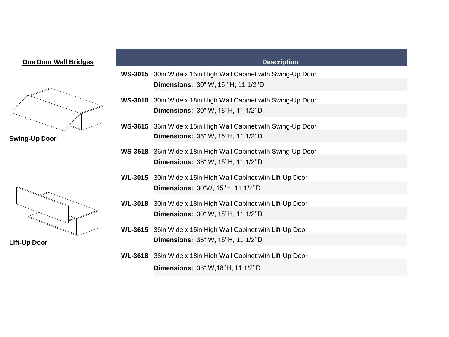| <b>One Door Wall Bridges</b> |                | <b>Description</b>                                            |
|------------------------------|----------------|---------------------------------------------------------------|
|                              | <b>WS-3015</b> | 30in Wide x 15in High Wall Cabinet with Swing-Up Door         |
|                              |                | <b>Dimensions: 30" W, 15 "H, 11 1/2"D</b>                     |
|                              |                | WS-3018 30in Wide x 18in High Wall Cabinet with Swing-Up Door |
|                              |                | <b>Dimensions: 30" W, 18"H, 11 1/2"D</b>                      |
|                              |                | WS-3615 36in Wide x 15in High Wall Cabinet with Swing-Up Door |
| <b>Swing-Up Door</b>         |                | Dimensions: 36" W, 15"H, 11 1/2"D                             |
|                              |                | WS-3618 36in Wide x 18in High Wall Cabinet with Swing-Up Door |
|                              |                | <b>Dimensions: 36" W, 15"H, 11 1/2"D</b>                      |
|                              |                | WL-3015 30in Wide x 15in High Wall Cabinet with Lift-Up Door  |
|                              |                | Dimensions: 30"W, 15"H, 11 1/2"D                              |
|                              |                | WL-3018 30in Wide x 18in High Wall Cabinet with Lift-Up Door  |
|                              |                | <b>Dimensions: 30" W, 18"H, 11 1/2"D</b>                      |
|                              |                | WL-3615 36in Wide x 15in High Wall Cabinet with Lift-Up Door  |
| <b>Lift-Up Door</b>          |                | Dimensions: 36" W, 15"H, 11 1/2"D                             |
|                              |                | WL-3618 36in Wide x 18in High Wall Cabinet with Lift-Up Door  |
|                              |                | <b>Dimensions: 36" W, 18"H, 11 1/2"D</b>                      |
|                              |                |                                                               |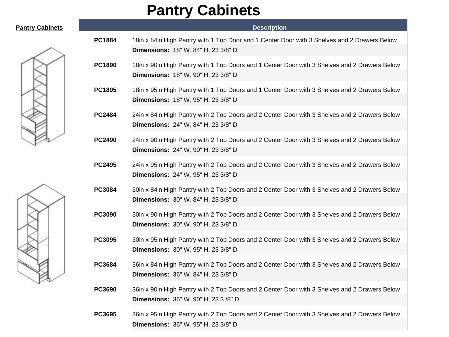## **Pantry Cabinets**

|               | <b>Description</b>                                                                                                                           |
|---------------|----------------------------------------------------------------------------------------------------------------------------------------------|
| <b>PC1884</b> | 18in x 84in High Pantry with 1 Top Door and 1 Center Door with 3 Shelves and 2 Drawers Below<br>Dimensions: 18" W, 84" H, 23 3/8" D          |
| <b>PC1890</b> | 18in x 90in High Pantry with 1 Top Doors and 1 Center Door with 3 Shelves and 2 Drawers Below<br>Dimensions: 18" W, 90" H, 23 3/8" D         |
| <b>PC1895</b> | 18in x 95in High Pantry with 1 Top Doors and 1 Center Door with 3 Shelves and 2 Drawers Below<br>Dimensions: 18" W, 95" H, 23 3/8" D         |
| <b>PC2484</b> | 24in x 84in High Pantry with 2 Top Doors and 2 Center Door with 3 Shelves and 2 Drawers Below<br>Dimensions: 24" W, 84" H, 23 3/8" D         |
| <b>PC2490</b> | 24in x 90in High Pantry with 2 Top Doors and 2 Center Door with 3 Shelves and 2 Drawers Below<br>Dimensions: 24" W, 90" H, 23 3/8" D         |
| <b>PC2495</b> | 24in x 95in High Pantry with 2 Top Doors and 2 Center Door with 3 Shelves and 2 Drawers Below<br>Dimensions: 24" W, 95" H, 23 3/8" D         |
| <b>PC3084</b> | 30in x 84in High Pantry with 2 Top Doors and 2 Center Door with 3 Shelves and 2 Drawers Below<br>Dimensions: 30" W, 84" H, 23 3/8" D         |
| <b>PC3090</b> | 30in x 90in High Pantry with 2 Top Doors and 2 Center Door with 3 Shelves and 2 Drawers Below<br>Dimensions: 30" W, 90" H, 23 3/8" D         |
| <b>PC3095</b> | 30in x 95in High Pantry with 2 Top Doors and 2 Center Door with 3 Shelves and 2 Drawers Below<br>Dimensions: 30" W, 95" H, 23 3/8" D         |
| <b>PC3684</b> | 36in x 84in High Pantry with 2 Top Doors and 2 Center Door with 3 Shelves and 2 Drawers Below<br>Dimensions: 36" W, 84" H, 23 3/8" D         |
| <b>PC3690</b> | 36in x 90in High Pantry with 2 Top Doors and 2 Center Door with 3 Shelves and 2 Drawers Below<br><b>Dimensions: 36" W, 90" H, 23 3 /8" D</b> |
| <b>PC3695</b> | 36in x 95in High Pantry with 2 Top Doors and 2 Center Door with 3 Shelves and 2 Drawers Below<br>Dimensions: 36" W, 95" H, 23 3/8" D         |





**Pantry Cabinets**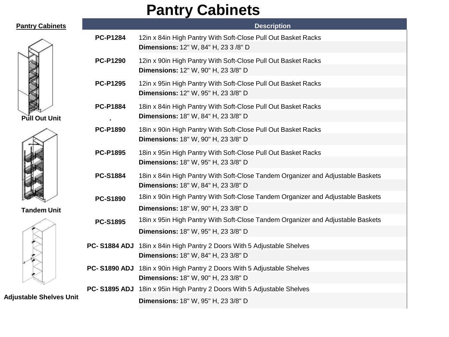## **Pantry Cabinets**

| <b>Pantry Cabinets</b>         |                 | <b>Description</b>                                                                                                     |
|--------------------------------|-----------------|------------------------------------------------------------------------------------------------------------------------|
|                                | <b>PC-P1284</b> | 12in x 84in High Pantry With Soft-Close Pull Out Basket Racks<br>Dimensions: 12" W, 84" H, 23 3 /8" D                  |
|                                | <b>PC-P1290</b> | 12in x 90in High Pantry With Soft-Close Pull Out Basket Racks<br>Dimensions: 12" W, 90" H, 23 3/8" D                   |
|                                | <b>PC-P1295</b> | 12in x 95in High Pantry With Soft-Close Pull Out Basket Racks<br>Dimensions: 12" W, 95" H, 23 3/8" D                   |
| <b>Pull Out Unit</b>           | <b>PC-P1884</b> | 18in x 84in High Pantry With Soft-Close Pull Out Basket Racks<br>Dimensions: 18" W, 84" H, 23 3/8" D                   |
| <b>Tandem Unit</b>             | <b>PC-P1890</b> | 18in x 90in High Pantry With Soft-Close Pull Out Basket Racks<br>Dimensions: 18" W, 90" H, 23 3/8" D                   |
|                                | <b>PC-P1895</b> | 18in x 95in High Pantry With Soft-Close Pull Out Basket Racks<br>Dimensions: 18" W, 95" H, 23 3/8" D                   |
|                                | <b>PC-S1884</b> | 18in x 84in High Pantry With Soft-Close Tandem Organizer and Adjustable Baskets<br>Dimensions: 18" W, 84" H, 23 3/8" D |
|                                | <b>PC-S1890</b> | 18in x 90in High Pantry With Soft-Close Tandem Organizer and Adjustable Baskets<br>Dimensions: 18" W, 90" H, 23 3/8" D |
|                                | <b>PC-S1895</b> | 18in x 95in High Pantry With Soft-Close Tandem Organizer and Adjustable Baskets<br>Dimensions: 18" W, 95" H, 23 3/8" D |
|                                |                 | PC-S1884 ADJ 18in x 84in High Pantry 2 Doors With 5 Adjustable Shelves<br>Dimensions: 18" W, 84" H, 23 3/8" D          |
|                                |                 | PC-S1890 ADJ 18in x 90in High Pantry 2 Doors With 5 Adjustable Shelves<br>Dimensions: 18" W, 90" H, 23 3/8" D          |
| <b>Adjustable Shelves Unit</b> |                 | PC-S1895 ADJ 18in x 95in High Pantry 2 Doors With 5 Adjustable Shelves<br>Dimensions: 18" W, 95" H, 23 3/8" D          |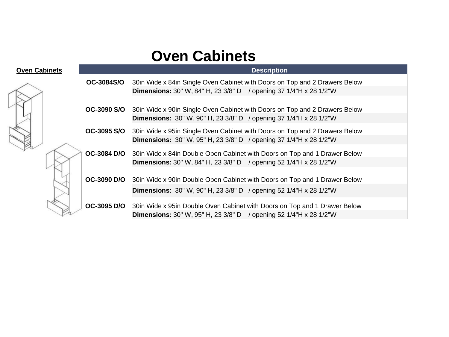## **Oven Cabinets**

| <b>Oven Cabinets</b> | <b>Description</b> |                                                                              |  |  |
|----------------------|--------------------|------------------------------------------------------------------------------|--|--|
|                      | <b>OC-3084S/O</b>  | 30in Wide x 84in Single Oven Cabinet with Doors on Top and 2 Drawers Below   |  |  |
|                      |                    | <b>Dimensions:</b> 30" W, 84" H, 23 3/8" D / opening 37 1/4"H x 28 1/2"W     |  |  |
|                      |                    |                                                                              |  |  |
|                      | <b>OC-3090 S/O</b> | 30in Wide x 90in Single Oven Cabinet with Doors on Top and 2 Drawers Below   |  |  |
|                      |                    | <b>Dimensions:</b> 30" W, 90" H, 23 3/8" D / opening 37 1/4"H x 28 1/2"W     |  |  |
|                      | OC-3095 S/O        | 30 in Wide x 95 in Single Oven Cabinet with Doors on Top and 2 Drawers Below |  |  |
|                      |                    | <b>Dimensions:</b> 30" W, 95" H, 23 3/8" D / opening 37 1/4"H x 28 1/2"W     |  |  |
|                      | OC-3084 D/O        |                                                                              |  |  |
|                      |                    | 30in Wide x 84in Double Open Cabinet with Doors on Top and 1 Drawer Below    |  |  |
|                      |                    | <b>Dimensions:</b> 30" W, 84" H, 23 3/8" D / opening 52 1/4"H x 28 1/2"W     |  |  |
|                      |                    |                                                                              |  |  |
|                      | <b>OC-3090 D/O</b> | 30in Wide x 90in Double Open Cabinet with Doors on Top and 1 Drawer Below    |  |  |
|                      |                    | <b>Dimensions:</b> 30" W, 90" H, 23 3/8" D / opening 52 1/4"H x 28 1/2"W     |  |  |
|                      | OC-3095 D/O        | 30in Wide x 95in Double Oven Cabinet with Doors on Top and 1 Drawer Below    |  |  |
|                      |                    |                                                                              |  |  |
|                      |                    | <b>Dimensions:</b> 30" W, 95" H, 23 3/8" D / opening 52 1/4"H x 28 1/2"W     |  |  |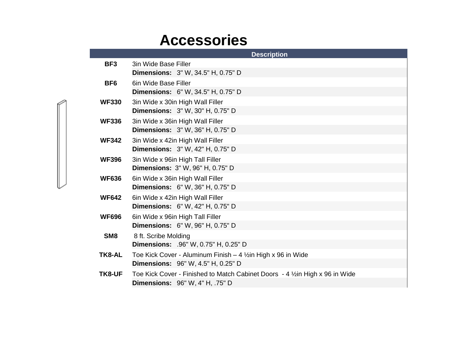## **Accessories**

|                 | <b>Description</b>                                                            |
|-----------------|-------------------------------------------------------------------------------|
| BF <sub>3</sub> | 3in Wide Base Filler                                                          |
|                 | <b>Dimensions:</b> 3" W, 34.5" H, 0.75" D                                     |
| BF <sub>6</sub> | 6in Wide Base Filler                                                          |
|                 | <b>Dimensions:</b> 6" W, 34.5" H, 0.75" D                                     |
| <b>WF330</b>    | 3in Wide x 30in High Wall Filler                                              |
|                 | <b>Dimensions:</b> 3" W, 30" H, 0.75" D                                       |
| <b>WF336</b>    | 3in Wide x 36in High Wall Filler                                              |
|                 | <b>Dimensions:</b> 3" W, 36" H, 0.75" D                                       |
| <b>WF342</b>    | 3in Wide x 42in High Wall Filler                                              |
|                 | <b>Dimensions:</b> 3" W, 42" H, 0.75" D                                       |
| <b>WF396</b>    | 3in Wide x 96in High Tall Filler                                              |
|                 | Dimensions: 3" W, 96" H, 0.75" D                                              |
| <b>WF636</b>    | 6in Wide x 36in High Wall Filler                                              |
|                 | <b>Dimensions:</b> 6" W, 36" H, 0.75" D                                       |
| <b>WF642</b>    | 6in Wide x 42in High Wall Filler                                              |
|                 | <b>Dimensions:</b> 6" W, 42" H, 0.75" D                                       |
| <b>WF696</b>    | 6in Wide x 96in High Tall Filler                                              |
|                 | <b>Dimensions:</b> 6" W, 96" H, 0.75" D                                       |
| SM <sub>8</sub> | 8 ft. Scribe Molding                                                          |
|                 | Dimensions: .96" W, 0.75" H, 0.25" D                                          |
| TK8-AL          | Toe Kick Cover - Aluminum Finish $-4$ 1/2 in High x 96 in Wide                |
|                 | <b>Dimensions:</b> 96" W, 4.5" H, 0.25" D                                     |
| TK8-UF          | Toe Kick Cover - Finished to Match Cabinet Doors - 4 1/2 in High x 96 in Wide |
|                 | <b>Dimensions: 96" W, 4" H, .75" D</b>                                        |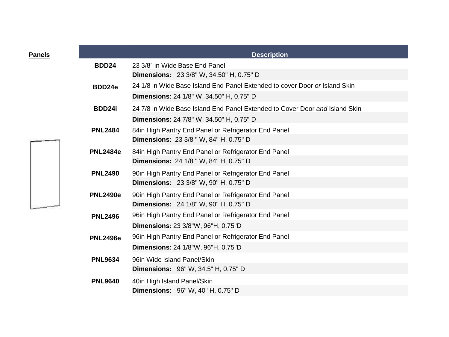| Panels |                 | <b>Description</b>                                                          |
|--------|-----------------|-----------------------------------------------------------------------------|
|        | <b>BDD24</b>    | 23 3/8" in Wide Base End Panel                                              |
|        |                 | <b>Dimensions:</b> 23 3/8" W, 34.50" H, 0.75" D                             |
|        | BDD24e          | 24 1/8 in Wide Base Island End Panel Extended to cover Door or Island Skin  |
|        |                 | <b>Dimensions: 24 1/8" W, 34.50" H, 0.75" D</b>                             |
|        | BDD24i          | 24 7/8 in Wide Base Island End Panel Extended to Cover Door and Island Skin |
|        |                 | Dimensions: 24 7/8" W, 34.50" H, 0.75" D                                    |
|        | <b>PNL2484</b>  | 84in High Pantry End Panel or Refrigerator End Panel                        |
|        |                 | <b>Dimensions: 23 3/8 " W, 84" H, 0.75" D</b>                               |
|        | <b>PNL2484e</b> | 84in High Pantry End Panel or Refrigerator End Panel                        |
|        |                 | <b>Dimensions: 24 1/8 " W, 84" H, 0.75" D</b>                               |
|        | <b>PNL2490</b>  | 90in High Pantry End Panel or Refrigerator End Panel                        |
|        |                 | <b>Dimensions: 23 3/8" W, 90" H, 0.75" D</b>                                |
|        | <b>PNL2490e</b> | 90in High Pantry End Panel or Refrigerator End Panel                        |
|        |                 | Dimensions: 24 1/8" W, 90" H, 0.75" D                                       |
|        | <b>PNL2496</b>  | 96in High Pantry End Panel or Refrigerator End Panel                        |
|        |                 | Dimensions: 23 3/8"W, 96"H, 0.75"D                                          |
|        | <b>PNL2496e</b> | 96in High Pantry End Panel or Refrigerator End Panel                        |
|        |                 | <b>Dimensions: 24 1/8"W, 96"H, 0.75"D</b>                                   |
|        | <b>PNL9634</b>  | 96in Wide Island Panel/Skin                                                 |
|        |                 | Dimensions: 96" W, 34.5" H, 0.75" D                                         |
|        | <b>PNL9640</b>  | 40in High Island Panel/Skin                                                 |
|        |                 | <b>Dimensions:</b> 96" W, 40" H, 0.75" D                                    |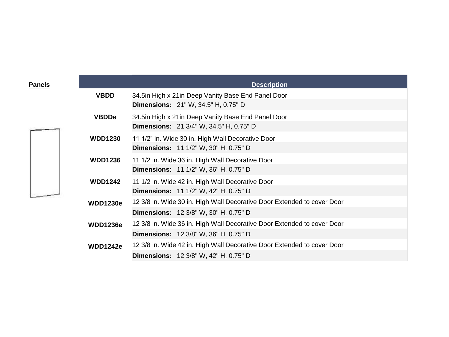| <u>Panels</u> |                 | <b>Description</b>                                                                                   |
|---------------|-----------------|------------------------------------------------------------------------------------------------------|
|               | <b>VBDD</b>     | 34.5in High x 21in Deep Vanity Base End Panel Door<br><b>Dimensions:</b> 21" W, 34.5" H, 0.75" D     |
|               | <b>VBDDe</b>    | 34.5in High x 21in Deep Vanity Base End Panel Door<br><b>Dimensions:</b> 21 3/4" W, 34.5" H, 0.75" D |
|               | <b>WDD1230</b>  | 11 1/2" in. Wide 30 in. High Wall Decorative Door                                                    |
|               |                 | Dimensions: 11 1/2" W, 30" H, 0.75" D                                                                |
|               | <b>WDD1236</b>  | 11 1/2 in. Wide 36 in. High Wall Decorative Door                                                     |
|               |                 | <b>Dimensions:</b> 11 1/2" W, 36" H, 0.75" D                                                         |
|               | <b>WDD1242</b>  | 11 1/2 in. Wide 42 in. High Wall Decorative Door                                                     |
|               |                 | <b>Dimensions: 11 1/2" W, 42" H, 0.75" D</b>                                                         |
|               | <b>WDD1230e</b> | 12 3/8 in. Wide 30 in. High Wall Decorative Door Extended to cover Door                              |
|               |                 | <b>Dimensions:</b> 12 3/8" W, 30" H, 0.75" D                                                         |
|               | <b>WDD1236e</b> | 12 3/8 in. Wide 36 in. High Wall Decorative Door Extended to cover Door                              |
|               |                 | <b>Dimensions:</b> 12 3/8" W, 36" H, 0.75" D                                                         |
|               | <b>WDD1242e</b> | 12 3/8 in. Wide 42 in. High Wall Decorative Door Extended to cover Door                              |
|               |                 | <b>Dimensions:</b> 12 3/8" W, 42" H, 0.75" D                                                         |

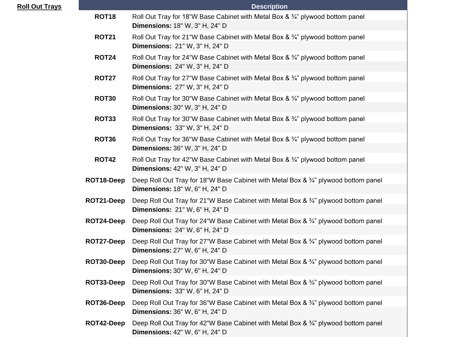| <b>Roll Out Trays</b> |              | <b>Description</b>                                                                                                           |  |  |
|-----------------------|--------------|------------------------------------------------------------------------------------------------------------------------------|--|--|
|                       | <b>ROT18</b> | Roll Out Tray for 18"W Base Cabinet with Metal Box & 3/4" plywood bottom panel<br>Dimensions: 18" W, 3" H, 24" D             |  |  |
|                       | <b>ROT21</b> | Roll Out Tray for 21"W Base Cabinet with Metal Box & 3/4" plywood bottom panel<br>Dimensions: 21" W, 3" H, 24" D             |  |  |
|                       | <b>ROT24</b> | Roll Out Tray for 24"W Base Cabinet with Metal Box & 3/4" plywood bottom panel<br><b>Dimensions: 24" W, 3" H, 24" D</b>      |  |  |
|                       | <b>ROT27</b> | Roll Out Tray for 27"W Base Cabinet with Metal Box & 3/4" plywood bottom panel<br><b>Dimensions: 27" W, 3" H, 24" D</b>      |  |  |
|                       | <b>ROT30</b> | Roll Out Tray for 30"W Base Cabinet with Metal Box & 3/4" plywood bottom panel<br>Dimensions: 30" W, 3" H, 24" D             |  |  |
|                       | <b>ROT33</b> | Roll Out Tray for 30"W Base Cabinet with Metal Box & 3/4" plywood bottom panel<br>Dimensions: 33" W, 3" H, 24" D             |  |  |
|                       | <b>ROT36</b> | Roll Out Tray for 36"W Base Cabinet with Metal Box & 3/4" plywood bottom panel<br><b>Dimensions: 36" W, 3" H, 24" D</b>      |  |  |
|                       | <b>ROT42</b> | Roll Out Tray for 42"W Base Cabinet with Metal Box & 3/4" plywood bottom panel<br>Dimensions: 42" W, 3" H, 24" D             |  |  |
|                       | ROT18-Deep   | Deep Roll Out Tray for 18"W Base Cabinet with Metal Box & 3/4" plywood bottom panel<br><b>Dimensions:</b> 18" W, 6" H, 24" D |  |  |
|                       | ROT21-Deep   | Deep Roll Out Tray for 21"W Base Cabinet with Metal Box & 3/4" plywood bottom panel<br><b>Dimensions: 21" W, 6" H, 24" D</b> |  |  |
|                       | ROT24-Deep   | Deep Roll Out Tray for 24"W Base Cabinet with Metal Box & 3/4" plywood bottom panel<br><b>Dimensions: 24" W, 6" H, 24" D</b> |  |  |
|                       | ROT27-Deep   | Deep Roll Out Tray for 27"W Base Cabinet with Metal Box & 3/4" plywood bottom panel<br>Dimensions: 27" W, 6" H, 24" D        |  |  |
|                       | ROT30-Deep   | Deep Roll Out Tray for 30"W Base Cabinet with Metal Box & 3/4" plywood bottom panel<br><b>Dimensions: 30" W, 6" H, 24" D</b> |  |  |
|                       | ROT33-Deep   | Deep Roll Out Tray for 30"W Base Cabinet with Metal Box & 3/4" plywood bottom panel<br><b>Dimensions: 33" W, 6" H, 24" D</b> |  |  |
|                       | ROT36-Deep   | Deep Roll Out Tray for 36"W Base Cabinet with Metal Box & 3/4" plywood bottom panel<br><b>Dimensions: 36" W, 6" H, 24" D</b> |  |  |
|                       | ROT42-Deep   | Deep Roll Out Tray for 42"W Base Cabinet with Metal Box & 3/4" plywood bottom panel<br><b>Dimensions: 42" W, 6" H, 24" D</b> |  |  |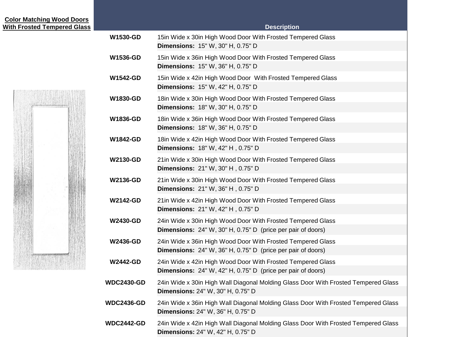| <b>Color Matching Wood Doors</b><br><b>With Frosted Tempered Glass</b> |                   | <b>Description</b>                                                                                                                |
|------------------------------------------------------------------------|-------------------|-----------------------------------------------------------------------------------------------------------------------------------|
|                                                                        | <b>W1530-GD</b>   | 15in Wide x 30in High Wood Door With Frosted Tempered Glass<br>Dimensions: 15" W, 30" H, 0.75" D                                  |
|                                                                        | <b>W1536-GD</b>   | 15in Wide x 36in High Wood Door With Frosted Tempered Glass<br>Dimensions: 15" W, 36" H, 0.75" D                                  |
|                                                                        | <b>W1542-GD</b>   | 15in Wide x 42in High Wood Door With Frosted Tempered Glass<br>Dimensions: 15" W, 42" H, 0.75" D                                  |
|                                                                        | <b>W1830-GD</b>   | 18in Wide x 30in High Wood Door With Frosted Tempered Glass<br><b>Dimensions: 18" W, 30" H, 0.75" D</b>                           |
|                                                                        | W1836-GD          | 18in Wide x 36in High Wood Door With Frosted Tempered Glass<br>Dimensions: 18" W, 36" H, 0.75" D                                  |
|                                                                        | <b>W1842-GD</b>   | 18in Wide x 42in High Wood Door With Frosted Tempered Glass<br>Dimensions: 18" W, 42" H, 0.75" D                                  |
|                                                                        | <b>W2130-GD</b>   | 21in Wide x 30in High Wood Door With Frosted Tempered Glass<br>Dimensions: 21" W, 30" H, 0.75" D                                  |
|                                                                        | <b>W2136-GD</b>   | 21in Wide x 30in High Wood Door With Frosted Tempered Glass<br>Dimensions: 21" W, 36" H, 0.75" D                                  |
|                                                                        | <b>W2142-GD</b>   | 21in Wide x 42in High Wood Door With Frosted Tempered Glass<br>Dimensions: 21" W, 42" H, 0.75" D                                  |
|                                                                        | <b>W2430-GD</b>   | 24in Wide x 30in High Wood Door With Frosted Tempered Glass<br><b>Dimensions:</b> 24" W, 30" H, 0.75" D (price per pair of doors) |
|                                                                        | <b>W2436-GD</b>   | 24in Wide x 36in High Wood Door With Frosted Tempered Glass<br><b>Dimensions:</b> 24" W, 36" H, 0.75" D (price per pair of doors) |
|                                                                        | <b>W2442-GD</b>   | 24in Wide x 42in High Wood Door With Frosted Tempered Glass<br>Dimensions: 24" W, 42" H, 0.75" D (price per pair of doors)        |
|                                                                        | <b>WDC2430-GD</b> | 24in Wide x 30in High Wall Diagonal Molding Glass Door With Frosted Tempered Glass<br>Dimensions: 24" W, 30" H, 0.75" D           |
|                                                                        | <b>WDC2436-GD</b> | 24in Wide x 36in High Wall Diagonal Molding Glass Door With Frosted Tempered Glass<br>Dimensions: 24" W, 36" H, 0.75" D           |
|                                                                        | <b>WDC2442-GD</b> | 24in Wide x 42in High Wall Diagonal Molding Glass Door With Frosted Tempered Glass<br>Dimensions: 24" W, 42" H, 0.75" D           |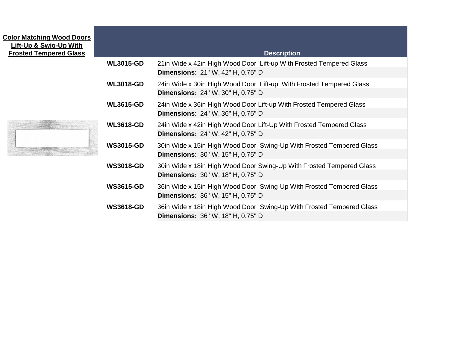## **Color Matching Wood Doors Lift-Up & Swig-Up With**

| <b>Lift-Up &amp; Swig-Up With</b><br><b>Frosted Tempered Glass</b> |                  | <b>Description</b>                                                                                                |
|--------------------------------------------------------------------|------------------|-------------------------------------------------------------------------------------------------------------------|
|                                                                    | <b>WL3015-GD</b> | 21 in Wide x 42 in High Wood Door Lift-up With Frosted Tempered Glass<br><b>Dimensions: 21" W, 42" H, 0.75" D</b> |
|                                                                    | <b>WL3018-GD</b> | 24in Wide x 30in High Wood Door Lift-up With Frosted Tempered Glass<br><b>Dimensions: 24" W, 30" H, 0.75" D</b>   |
|                                                                    | <b>WL3615-GD</b> | 24in Wide x 36in High Wood Door Lift-up With Frosted Tempered Glass<br><b>Dimensions: 24" W, 36" H, 0.75" D</b>   |
|                                                                    | <b>WL3618-GD</b> | 24in Wide x 42in High Wood Door Lift-Up With Frosted Tempered Glass<br><b>Dimensions: 24" W, 42" H, 0.75" D</b>   |
|                                                                    | <b>WS3015-GD</b> | 30in Wide x 15in High Wood Door Swing-Up With Frosted Tempered Glass<br>Dimensions: 30" W, 15" H, 0.75" D         |
|                                                                    | <b>WS3018-GD</b> | 30in Wide x 18in High Wood Door Swing-Up With Frosted Tempered Glass<br><b>Dimensions: 30" W, 18" H, 0.75" D</b>  |
|                                                                    | <b>WS3615-GD</b> | 36in Wide x 15in High Wood Door Swing-Up With Frosted Tempered Glass<br><b>Dimensions: 36" W, 15" H, 0.75" D</b>  |
|                                                                    | <b>WS3618-GD</b> | 36in Wide x 18in High Wood Door Swing-Up With Frosted Tempered Glass<br><b>Dimensions: 36" W, 18" H, 0.75" D</b>  |

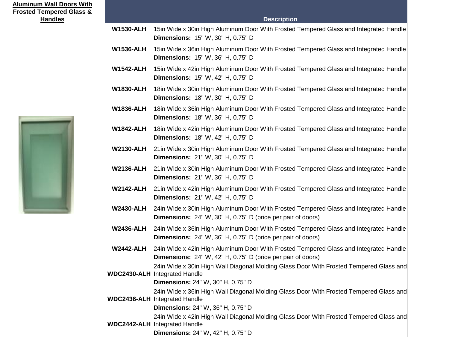| <b>Aluminum Wall Doors With</b><br><b>Frosted Tempered Glass &amp;</b> |                  |                                                                                                                                                                     |
|------------------------------------------------------------------------|------------------|---------------------------------------------------------------------------------------------------------------------------------------------------------------------|
| <b>Handles</b>                                                         |                  | <b>Description</b>                                                                                                                                                  |
|                                                                        | <b>W1530-ALH</b> | 15in Wide x 30in High Aluminum Door With Frosted Tempered Glass and Integrated Handle<br><b>Dimensions: 15" W, 30" H, 0.75" D</b>                                   |
|                                                                        | <b>W1536-ALH</b> | 15in Wide x 36in High Aluminum Door With Frosted Tempered Glass and Integrated Handle<br>Dimensions: 15" W, 36" H, 0.75" D                                          |
|                                                                        | <b>W1542-ALH</b> | 15in Wide x 42in High Aluminum Door With Frosted Tempered Glass and Integrated Handle<br><b>Dimensions: 15" W, 42" H, 0.75" D</b>                                   |
|                                                                        | <b>W1830-ALH</b> | 18in Wide x 30in High Aluminum Door With Frosted Tempered Glass and Integrated Handle<br><b>Dimensions: 18" W, 30" H, 0.75" D</b>                                   |
|                                                                        | <b>W1836-ALH</b> | 18in Wide x 36in High Aluminum Door With Frosted Tempered Glass and Integrated Handle<br>Dimensions: 18" W, 36" H, 0.75" D                                          |
|                                                                        | <b>W1842-ALH</b> | 18in Wide x 42in High Aluminum Door With Frosted Tempered Glass and Integrated Handle<br>Dimensions: 18" W, 42" H, 0.75" D                                          |
|                                                                        | <b>W2130-ALH</b> | 21in Wide x 30in High Aluminum Door With Frosted Tempered Glass and Integrated Handle<br><b>Dimensions: 21" W, 30" H, 0.75" D</b>                                   |
|                                                                        | <b>W2136-ALH</b> | 21in Wide x 30in High Aluminum Door With Frosted Tempered Glass and Integrated Handle<br>Dimensions: 21" W, 36" H, 0.75" D                                          |
|                                                                        | <b>W2142-ALH</b> | 21in Wide x 42in High Aluminum Door With Frosted Tempered Glass and Integrated Handle<br>Dimensions: 21" W, 42" H, 0.75" D                                          |
|                                                                        | <b>W2430-ALH</b> | 24in Wide x 30in High Aluminum Door With Frosted Tempered Glass and Integrated Handle<br><b>Dimensions:</b> 24" W, 30" H, 0.75" D (price per pair of doors)         |
|                                                                        | <b>W2436-ALH</b> | 24in Wide x 36in High Aluminum Door With Frosted Tempered Glass and Integrated Handle<br><b>Dimensions:</b> 24" W, 36" H, 0.75" D (price per pair of doors)         |
|                                                                        | <b>W2442-ALH</b> | 24in Wide x 42in High Aluminum Door With Frosted Tempered Glass and Integrated Handle<br><b>Dimensions:</b> 24" W, 42" H, 0.75" D (price per pair of doors)         |
|                                                                        |                  | 24in Wide x 30in High Wall Diagonal Molding Glass Door With Frosted Tempered Glass and<br><b>WDC2430-ALH</b> Integrated Handle                                      |
|                                                                        |                  | Dimensions: 24" W, 30" H, 0.75" D                                                                                                                                   |
|                                                                        |                  | 24in Wide x 36in High Wall Diagonal Molding Glass Door With Frosted Tempered Glass and<br><b>WDC2436-ALH</b> Integrated Handle                                      |
|                                                                        |                  | Dimensions: 24" W, 36" H, 0.75" D                                                                                                                                   |
|                                                                        |                  | 24in Wide x 42in High Wall Diagonal Molding Glass Door With Frosted Tempered Glass and<br><b>WDC2442-ALH</b> Integrated Handle<br>Dimensions: 24" W, 42" H, 0.75" D |
|                                                                        |                  |                                                                                                                                                                     |

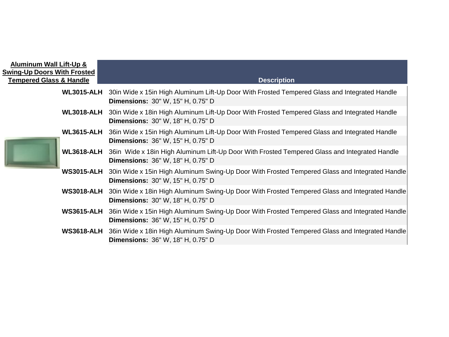| <b>Aluminum Wall Lift-Up &amp;</b><br><b>Swing-Up Doors With Frosted</b><br><b>Tempered Glass &amp; Handle</b> | <b>Description</b>                                                                                                                                   |
|----------------------------------------------------------------------------------------------------------------|------------------------------------------------------------------------------------------------------------------------------------------------------|
|                                                                                                                | WL3015-ALH 30in Wide x 15in High Aluminum Lift-Up Door With Frosted Tempered Glass and Integrated Handle<br><b>Dimensions: 30" W, 15" H, 0.75" D</b> |
| <b>WL3018-ALH</b>                                                                                              | 30in Wide x 18in High Aluminum Lift-Up Door With Frosted Tempered Glass and Integrated Handle<br><b>Dimensions: 30" W, 18" H, 0.75" D</b>            |
| <b>WL3615-ALH</b>                                                                                              | 36in Wide x 15in High Aluminum Lift-Up Door With Frosted Tempered Glass and Integrated Handle<br><b>Dimensions: 36" W, 15" H, 0.75" D</b>            |
| <b>WL3618-ALH</b>                                                                                              | 36in Wide x 18in High Aluminum Lift-Up Door With Frosted Tempered Glass and Integrated Handle<br><b>Dimensions: 36" W, 18" H, 0.75" D</b>            |
| <b>WS3015-ALH</b>                                                                                              | 30in Wide x 15in High Aluminum Swing-Up Door With Frosted Tempered Glass and Integrated Handle<br><b>Dimensions: 30" W, 15" H, 0.75" D</b>           |
| <b>WS3018-ALH</b>                                                                                              | 30in Wide x 18in High Aluminum Swing-Up Door With Frosted Tempered Glass and Integrated Handle<br><b>Dimensions: 30" W, 18" H, 0.75" D</b>           |
| <b>WS3615-ALH</b>                                                                                              | 36in Wide x 15in High Aluminum Swing-Up Door With Frosted Tempered Glass and Integrated Handle<br><b>Dimensions: 36" W, 15" H, 0.75" D</b>           |
| <b>WS3618-ALH</b>                                                                                              | 36in Wide x 18in High Aluminum Swing-Up Door With Frosted Tempered Glass and Integrated Handle<br><b>Dimensions: 36" W, 18" H, 0.75" D</b>           |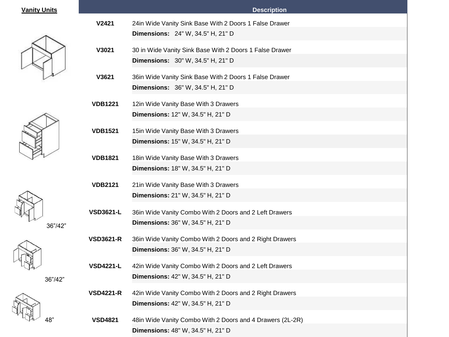## **<u>Vanity Units</u>**











| <b>Vanity Units</b> |                  | <b>Description</b>                                                                                  |
|---------------------|------------------|-----------------------------------------------------------------------------------------------------|
|                     | V2421            | 24in Wide Vanity Sink Base With 2 Doors 1 False Drawer<br><b>Dimensions:</b> 24" W, 34.5" H, 21" D  |
|                     | V3021            | 30 in Wide Vanity Sink Base With 2 Doors 1 False Drawer<br><b>Dimensions:</b> 30" W, 34.5" H, 21" D |
|                     | V3621            | 36in Wide Vanity Sink Base With 2 Doors 1 False Drawer<br><b>Dimensions:</b> 36" W, 34.5" H, 21" D  |
|                     | <b>VDB1221</b>   | 12in Wide Vanity Base With 3 Drawers<br><b>Dimensions:</b> 12" W, 34.5" H, 21" D                    |
|                     | <b>VDB1521</b>   | 15in Wide Vanity Base With 3 Drawers<br>Dimensions: 15" W, 34.5" H, 21" D                           |
|                     | <b>VDB1821</b>   | 18in Wide Vanity Base With 3 Drawers<br>Dimensions: 18" W, 34.5" H, 21" D                           |
| 36"/42"             | <b>VDB2121</b>   | 21in Wide Vanity Base With 3 Drawers<br>Dimensions: 21" W, 34.5" H, 21" D                           |
|                     | <b>VSD3621-L</b> | 36in Wide Vanity Combo With 2 Doors and 2 Left Drawers<br><b>Dimensions: 36" W, 34.5" H, 21" D</b>  |
| 36"/42"             | <b>VSD3621-R</b> | 36in Wide Vanity Combo With 2 Doors and 2 Right Drawers<br>Dimensions: 36" W, 34.5" H, 21" D        |
|                     | <b>VSD4221-L</b> | 42in Wide Vanity Combo With 2 Doors and 2 Left Drawers<br><b>Dimensions:</b> 42" W, 34.5" H, 21" D  |
|                     | <b>VSD4221-R</b> | 42in Wide Vanity Combo With 2 Doors and 2 Right Drawers<br>Dimensions: 42" W, 34.5" H, 21" D        |
| 48"                 | <b>VSD4821</b>   | 48in Wide Vanity Combo With 2 Doors and 4 Drawers (2L-2R)<br>Dimensions: 48" W, 34.5" H, 21" D      |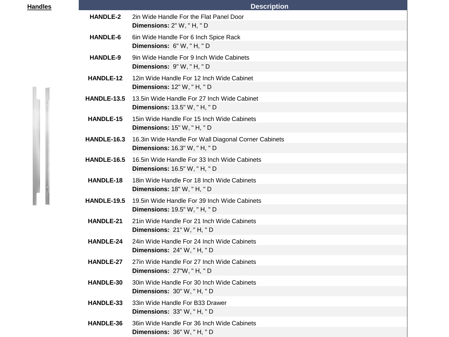| <b>Handles</b> | <b>Description</b> |                                                                                            |  |  |
|----------------|--------------------|--------------------------------------------------------------------------------------------|--|--|
|                | <b>HANDLE-2</b>    | 2in Wide Handle For the Flat Panel Door<br>Dimensions: 2" W, "H, "D                        |  |  |
|                | HANDLE-6           | 6in Wide Handle For 6 Inch Spice Rack<br>Dimensions: 6" W, "H, "D                          |  |  |
|                | <b>HANDLE-9</b>    | 9in Wide Handle For 9 Inch Wide Cabinets<br>Dimensions: 9"W, "H, "D                        |  |  |
|                | HANDLE-12          | 12in Wide Handle For 12 Inch Wide Cabinet<br>Dimensions: 12" W, "H, "D                     |  |  |
|                | HANDLE-13.5        | 13.5in Wide Handle For 27 Inch Wide Cabinet<br><b>Dimensions:</b> 13.5" W, "H, "D          |  |  |
|                | HANDLE-15          | 15 in Wide Handle For 15 Inch Wide Cabinets<br>Dimensions: 15" W, "H, "D                   |  |  |
|                | HANDLE-16.3        | 16.3in Wide Handle For Wall Diagonal Corner Cabinets<br><b>Dimensions: 16.3" W, "H, "D</b> |  |  |
|                | HANDLE-16.5        | 16.5in Wide Handle For 33 Inch Wide Cabinets<br><b>Dimensions:</b> 16.5" W, "H, "D         |  |  |
|                | HANDLE-18          | 18 in Wide Handle For 18 Inch Wide Cabinets<br>Dimensions: 18" W, "H, "D                   |  |  |
|                | <b>HANDLE-19.5</b> | 19.5 in Wide Handle For 39 Inch Wide Cabinets<br><b>Dimensions:</b> 19.5" W, "H, "D        |  |  |
|                | HANDLE-21          | 21in Wide Handle For 21 Inch Wide Cabinets<br>Dimensions: 21" W, "H, "D                    |  |  |
|                | <b>HANDLE-24</b>   | 24in Wide Handle For 24 Inch Wide Cabinets<br><b>Dimensions: 24" W, "H, "D</b>             |  |  |
|                | HANDLE-27          | 27in Wide Handle For 27 Inch Wide Cabinets<br>Dimensions: 27"W, "H, "D                     |  |  |
|                | HANDLE-30          | 30in Wide Handle For 30 Inch Wide Cabinets<br>Dimensions: 30" W, "H, "D                    |  |  |
|                | HANDLE-33          | 33in Wide Handle For B33 Drawer<br>Dimensions: 33" W, "H, "D                               |  |  |
|                | HANDLE-36          | 36 in Wide Handle For 36 Inch Wide Cabinets<br>Dimensions: 36" W, "H, "D                   |  |  |